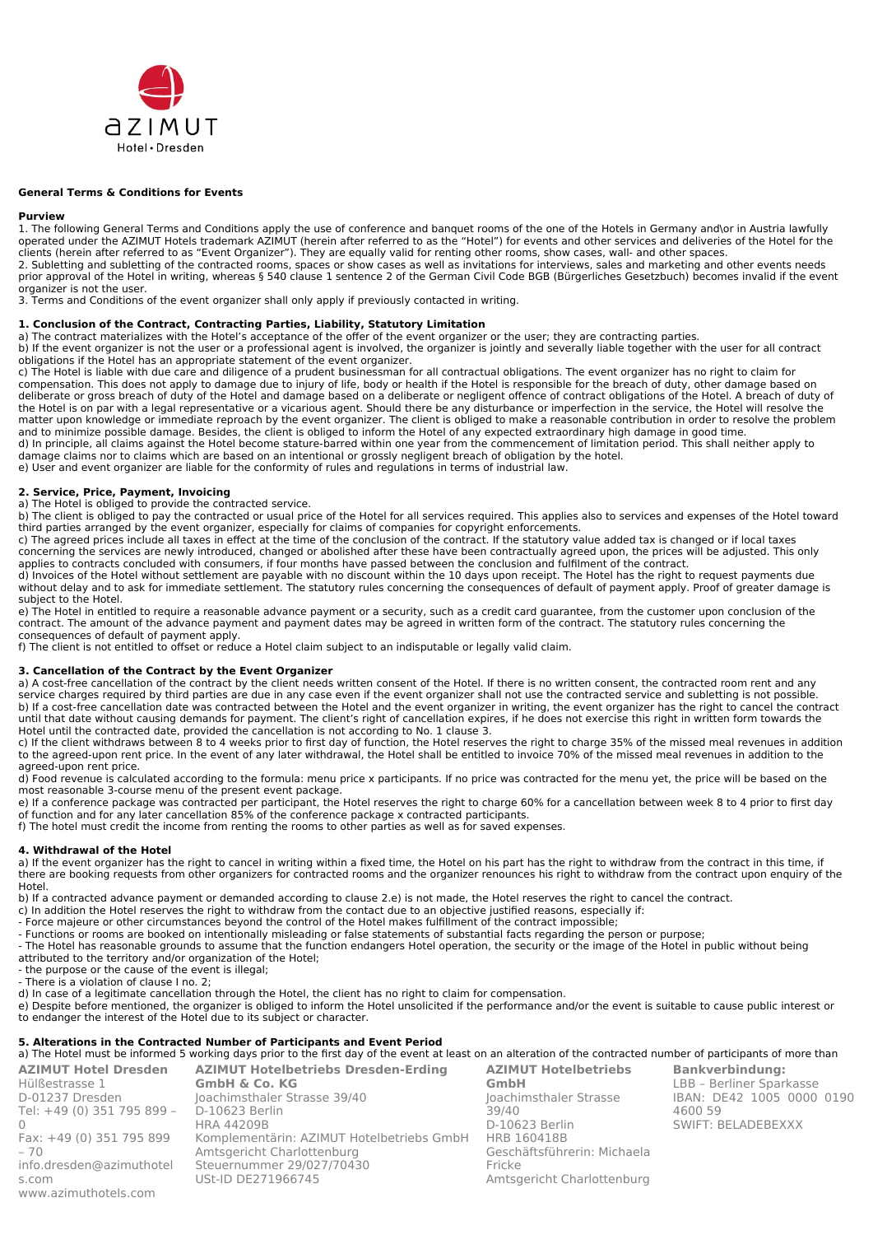

## **General Terms & Conditions for Events**

### **Purview**

1. The following General Terms and Conditions apply the use of conference and banquet rooms of the one of the Hotels in Germany and\or in Austria lawfully operated under the AZIMUT Hotels trademark AZIMUT (herein after referred to as the "Hotel") for events and other services and deliveries of the Hotel for the clients (herein after referred to as "Event Organizer"). They are equally valid for renting other rooms, show cases, wall- and other spaces. 2. Subletting and subletting of the contracted rooms, spaces or show cases as well as invitations for interviews, sales and marketing and other events needs prior approval of the Hotel in writing, whereas § 540 clause 1 sentence 2 of the German Civil Code BGB (Bürgerliches Gesetzbuch) becomes invalid if the event organizer is not the user.

3. Terms and Conditions of the event organizer shall only apply if previously contacted in writing.

### **1. Conclusion of the Contract, Contracting Parties, Liability, Statutory Limitation**

a) The contract materializes with the Hotel's acceptance of the offer of the event organizer or the user; they are contracting parties.

b) If the event organizer is not the user or a professional agent is involved, the organizer is jointly and severally liable together with the user for all contract obligations if the Hotel has an appropriate statement of the event organizer.

c) The Hotel is liable with due care and diligence of a prudent businessman for all contractual obligations. The event organizer has no right to claim for compensation. This does not apply to damage due to injury of life, body or health if the Hotel is responsible for the breach of duty, other damage based on deliberate or gross breach of duty of the Hotel and damage based on a deliberate or negligent offence of contract obligations of the Hotel. A breach of duty of the Hotel is on par with a legal representative or a vicarious agent. Should there be any disturbance or imperfection in the service, the Hotel will resolve the matter upon knowledge or immediate reproach by the event organizer. The client is obliged to make a reasonable contribution in order to resolve the problem and to minimize possible damage. Besides, the client is obliged to inform the Hotel of any expected extraordinary high damage in good time. d) In principle, all claims against the Hotel become stature-barred within one year from the commencement of limitation period. This shall neither apply to

damage claims nor to claims which are based on an intentional or grossly negligent breach of obligation by the hotel. e) User and event organizer are liable for the conformity of rules and regulations in terms of industrial law.

### **2. Service, Price, Payment, Invoicing**

a) The Hotel is obliged to provide the contracted service.

b) The client is obliged to pay the contracted or usual price of the Hotel for all services required. This applies also to services and expenses of the Hotel toward third parties arranged by the event organizer, especially for claims of companies for copyright enforcements.

c) The agreed prices include all taxes in effect at the time of the conclusion of the contract. If the statutory value added tax is changed or if local taxes concerning the services are newly introduced, changed or abolished after these have been contractually agreed upon, the prices will be adjusted. This only applies to contracts concluded with consumers, if four months have passed between the conclusion and fulfilment of the contract.

d) Invoices of the Hotel without settlement are payable with no discount within the 10 days upon receipt. The Hotel has the right to request payments due without delay and to ask for immediate settlement. The statutory rules concerning the consequences of default of payment apply. Proof of greater damage is subject to the Hotel.

e) The Hotel in entitled to require a reasonable advance payment or a security, such as a credit card guarantee, from the customer upon conclusion of the contract. The amount of the advance payment and payment dates may be agreed in written form of the contract. The statutory rules concerning the consequences of default of payment apply.

f) The client is not entitled to offset or reduce a Hotel claim subject to an indisputable or legally valid claim.

## **3. Cancellation of the Contract by the Event Organizer**

a) A cost-free cancellation of the contract by the client needs written consent of the Hotel. If there is no written consent, the contracted room rent and any service charges required by third parties are due in any case even if the event organizer shall not use the contracted service and subletting is not possible. b) If a cost-free cancellation date was contracted between the Hotel and the event organizer in writing, the event organizer has the right to cancel the contract until that date without causing demands for payment. The client's right of cancellation expires, if he does not exercise this right in written form towards the Hotel until the contracted date, provided the cancellation is not according to No. 1 clause 3.

c) If the client withdraws between 8 to 4 weeks prior to first day of function, the Hotel reserves the right to charge 35% of the missed meal revenues in addition to the agreed-upon rent price. In the event of any later withdrawal, the Hotel shall be entitled to invoice 70% of the missed meal revenues in addition to the agreed-upon rent price.

d) Food revenue is calculated according to the formula: menu price x participants. If no price was contracted for the menu yet, the price will be based on the most reasonable 3-course menu of the present event package.

e) If a conference package was contracted per participant, the Hotel reserves the right to charge 60% for a cancellation between week 8 to 4 prior to first day of function and for any later cancellation 85% of the conference package x contracted participants.

f) The hotel must credit the income from renting the rooms to other parties as well as for saved expenses.

### **4. Withdrawal of the Hotel**

a) If the event organizer has the right to cancel in writing within a fixed time, the Hotel on his part has the right to withdraw from the contract in this time, if there are booking requests from other organizers for contracted rooms and the organizer renounces his right to withdraw from the contract upon enquiry of the Hotel.

b) If a contracted advance payment or demanded according to clause 2.e) is not made, the Hotel reserves the right to cancel the contract.

- c) In addition the Hotel reserves the right to withdraw from the contact due to an objective justified reasons, especially if:
- Force majeure or other circumstances beyond the control of the Hotel makes fulfillment of the contract impossible;
- Functions or rooms are booked on intentionally misleading or false statements of substantial facts regarding the person or purpose;

- The Hotel has reasonable grounds to assume that the function endangers Hotel operation, the security or the image of the Hotel in public without being attributed to the territory and/or organization of the Hotel;

- the purpose or the cause of the event is illegal;

- There is a violation of clause I no. 2;

d) In case of a legitimate cancellation through the Hotel, the client has no right to claim for compensation.

e) Despite before mentioned, the organizer is obliged to inform the Hotel unsolicited if the performance and/or the event is suitable to cause public interest or to endanger the interest of the Hotel due to its subject or character.

# **5. Alterations in the Contracted Number of Participants and Event Period**

a) The Hotel must be informed 5 working days prior to the first day of the event at least on an alteration of the contracted number of participants of more than **AZIMUT Hotelbetriebs** 

**AZIMUT Hotel Dresden** Hülßestrasse 1 D-01237 Dresden Tel: +49 (0) 351 795 899 –  $\cap$ Fax: +49 (0) 351 795 899  $-70$ [info.dresden@azimuthotel](mailto:info.dresden@azimuthotels.com) [s.](mailto:info.dresden@azimuthotels.com)com [www.azimuthotels](http://www.azimuthotels.com/).com **AZIMUT Hotelbetriebs Dresden-Erding GmbH & Co. KG** Joachimsthaler Strasse 39/40 D-10623 Berlin HRA 44209B Komplementärin: AZIMUT Hotelbetriebs GmbH Amtsgericht Charlottenburg Steuernummer 29/027/70430 USt-ID DE271966745

**GmbH** Joachimsthaler Strasse 39/40 D-10623 Berlin HRB 160418B Geschäftsführerin: Michaela Fricke Amtsgericht Charlottenburg

**Bankverbindung:** LBB – Berliner Sparkasse IBAN: DE42 1005 0000 0190 4600 59 SWIFT: BELADEBEXXX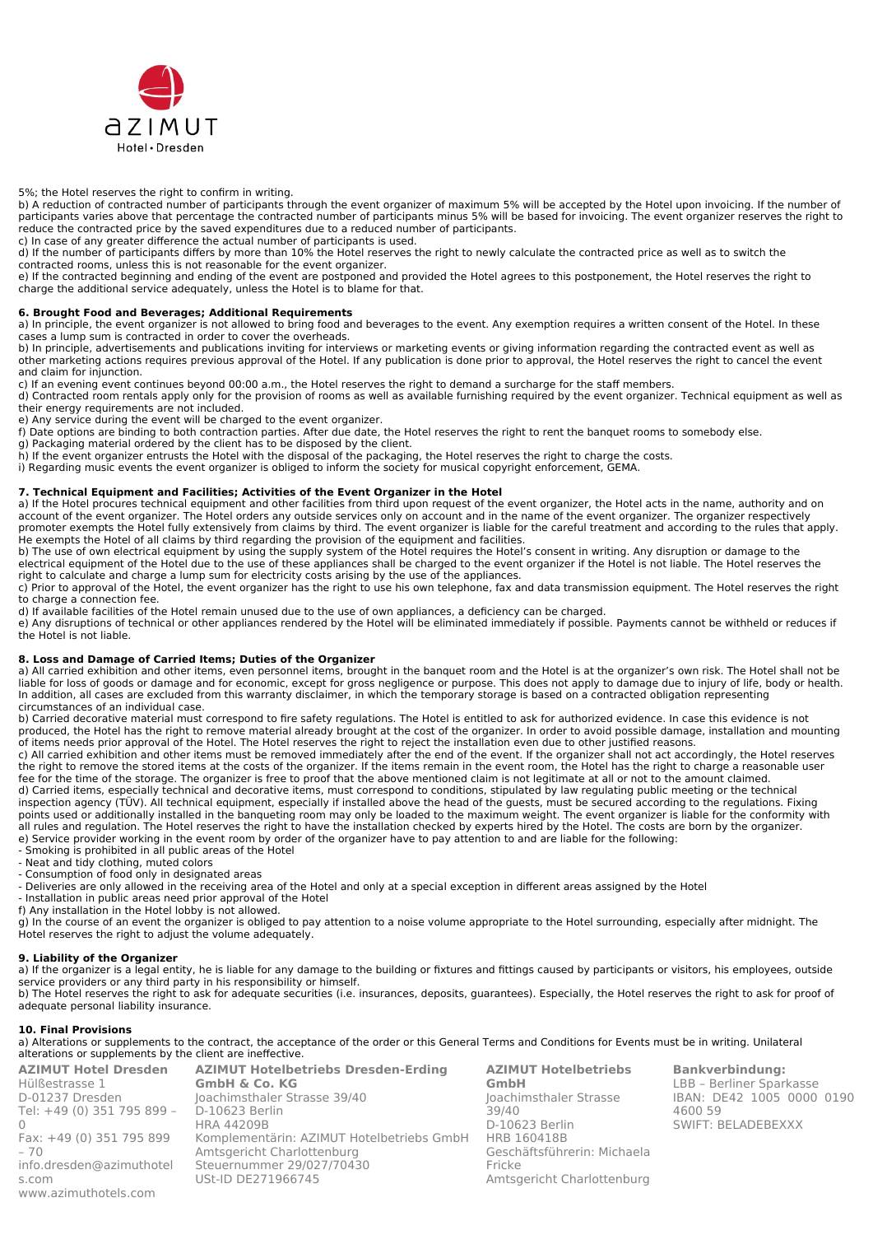

5%; the Hotel reserves the right to confirm in writing.

b) A reduction of contracted number of participants through the event organizer of maximum 5% will be accepted by the Hotel upon invoicing. If the number of participants varies above that percentage the contracted number of participants minus 5% will be based for invoicing. The event organizer reserves the right to reduce the contracted price by the saved expenditures due to a reduced number of participants.

c) In case of any greater difference the actual number of participants is used. d) If the number of participants differs by more than 10% the Hotel reserves the right to newly calculate the contracted price as well as to switch the

contracted rooms, unless this is not reasonable for the event organizer.

e) If the contracted beginning and ending of the event are postponed and provided the Hotel agrees to this postponement, the Hotel reserves the right to charge the additional service adequately, unless the Hotel is to blame for that.

# **6. Brought Food and Beverages; Additional Requirements**

a) In principle, the event organizer is not allowed to bring food and beverages to the event. Any exemption requires a written consent of the Hotel. In these cases a lump sum is contracted in order to cover the overheads.

b) In principle, advertisements and publications inviting for interviews or marketing events or giving information regarding the contracted event as well as other marketing actions requires previous approval of the Hotel. If any publication is done prior to approval, the Hotel reserves the right to cancel the event and claim for injunction.

c) If an evening event continues beyond 00:00 a.m., the Hotel reserves the right to demand a surcharge for the staff members.

d) Contracted room rentals apply only for the provision of rooms as well as available furnishing required by the event organizer. Technical equipment as well as their energy requirements are not included.

e) Any service during the event will be charged to the event organizer.

f) Date options are binding to both contraction parties. After due date, the Hotel reserves the right to rent the banquet rooms to somebody else.

g) Packaging material ordered by the client has to be disposed by the client.

h) If the event organizer entrusts the Hotel with the disposal of the packaging, the Hotel reserves the right to charge the costs. i) Regarding music events the event organizer is obliged to inform the society for musical copyright enforcement, GEMA.

# **7. Technical Equipment and Facilities; Activities of the Event Organizer in the Hotel**

a) If the Hotel procures technical equipment and other facilities from third upon request of the event organizer, the Hotel acts in the name, authority and on account of the event organizer. The Hotel orders any outside services only on account and in the name of the event organizer. The organizer respectively promoter exempts the Hotel fully extensively from claims by third. The event organizer is liable for the careful treatment and according to the rules that apply. He exempts the Hotel of all claims by third regarding the provision of the equipment and facilities.

b) The use of own electrical equipment by using the supply system of the Hotel requires the Hotel's consent in writing. Any disruption or damage to the electrical equipment of the Hotel due to the use of these appliances shall be charged to the event organizer if the Hotel is not liable. The Hotel reserves the right to calculate and charge a lump sum for electricity costs arising by the use of the appliances.

c) Prior to approval of the Hotel, the event organizer has the right to use his own telephone, fax and data transmission equipment. The Hotel reserves the right to charge a connection fee.

d) If available facilities of the Hotel remain unused due to the use of own appliances, a deficiency can be charged. e) Any disruptions of technical or other appliances rendered by the Hotel will be eliminated immediately if possible. Payments cannot be withheld or reduces if the Hotel is not liable.

### **8. Loss and Damage of Carried Items; Duties of the Organizer**

a) All carried exhibition and other items, even personnel items, brought in the banquet room and the Hotel is at the organizer's own risk. The Hotel shall not be liable for loss of goods or damage and for economic, except for gross negligence or purpose. This does not apply to damage due to injury of life, body or health. In addition, all cases are excluded from this warranty disclaimer, in which the temporary storage is based on a contracted obligation representing circumstances of an individual case.

b) Carried decorative material must correspond to fire safety regulations. The Hotel is entitled to ask for authorized evidence. In case this evidence is not produced, the Hotel has the right to remove material already brought at the cost of the organizer. In order to avoid possible damage, installation and mounting of items needs prior approval of the Hotel. The Hotel reserves the right to reject the installation even due to other justified reasons.

c) All carried exhibition and other items must be removed immediately after the end of the event. If the organizer shall not act accordingly, the Hotel reserves the right to remove the stored items at the costs of the organizer. If the items remain in the event room, the Hotel has the right to charge a reasonable user fee for the time of the storage. The organizer is free to proof that the above mentioned claim is not legitimate at all or not to the amount claimed. d) Carried items, especially technical and decorative items, must correspond to conditions, stipulated by law regulating public meeting or the technical inspection agency (TÜV). All technical equipment, especially if installed above the head of the guests, must be secured according to the regulations. Fixing points used or additionally installed in the banqueting room may only be loaded to the maximum weight. The event organizer is liable for the conformity with all rules and regulation. The Hotel reserves the right to have the installation checked by experts hired by the Hotel. The costs are born by the organizer. e) Service provider working in the event room by order of the organizer have to pay attention to and are liable for the following:

- Smoking is prohibited in all public areas of the Hotel

- Neat and tidy clothing, muted colors
- Consumption of food only in designated areas

- Deliveries are only allowed in the receiving area of the Hotel and only at a special exception in different areas assigned by the Hotel

- Installation in public areas need prior approval of the Hotel
- f) Any installation in the Hotel lobby is not allowed.

g) In the course of an event the organizer is obliged to pay attention to a noise volume appropriate to the Hotel surrounding, especially after midnight. The Hotel reserves the right to adjust the volume adequately.

# **9. Liability of the Organizer**

a) If the organizer is a legal entity, he is liable for any damage to the building or fixtures and fittings caused by participants or visitors, his employees, outside service providers or any third party in his responsibility or himself.

b) The Hotel reserves the right to ask for adequate securities (i.e. insurances, deposits, guarantees). Especially, the Hotel reserves the right to ask for proof of adequate personal liability insurance.

## **10. Final Provisions**

a) Alterations or supplements to the contract, the acceptance of the order or this General Terms and Conditions for Events must be in writing. Unilateral alterations or supplements by the client are ineffective.

**AZIMUT Hotel Dresden** Hülßestrasse 1 D-01237 Dresden Tel: +49 (0) 351 795 899 –  $\cap$ Fax: +49 (0) 351 795 899  $-70$ [info.dresden@azimuthotel](mailto:info.dresden@azimuthotels.com) [s.](mailto:info.dresden@azimuthotels.com)com [www.azimuthotels](http://www.azimuthotels.com/).com

**AZIMUT Hotelbetriebs Dresden-Erding GmbH & Co. KG** Joachimsthaler Strasse 39/40 D-10623 Berlin HRA 44209B Komplementärin: AZIMUT Hotelbetriebs GmbH Amtsgericht Charlottenburg Steuernummer 29/027/70430 USt-ID DE271966745

**AZIMUT Hotelbetriebs GmbH** Joachimsthaler Strasse 39/40 D-10623 Berlin HRB 160418B Geschäftsführerin: Michaela Fricke Amtsgericht Charlottenburg

**Bankverbindung:** LBB – Berliner Sparkasse IBAN: DE42 1005 0000 0190 4600 59 SWIFT: BELADEBEXXX